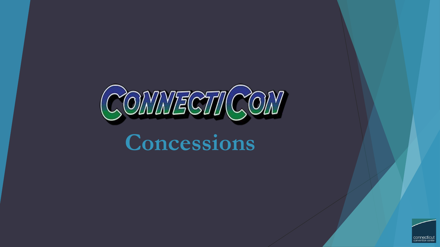

# **Concessions**

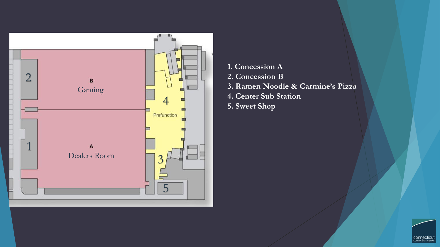

**1. Concession A 2. Concession B 3. Ramen Noodle & Carmine's Pizza 4. Center Sub Station 5. Sweet Shop** 

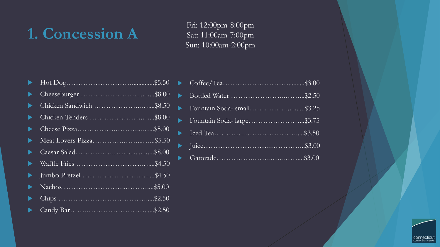## **1. Concession A**

Fri: 12:00pm-8:00pm Sat: 11:00am-7:00pm Sun: 10:00am-2:00pm

| ▶ | Chicken Sandwich \$8.50 |
|---|-------------------------|
| ▶ | Chicken Tenders \$8.00  |
|   |                         |
| ▶ |                         |
| ▶ |                         |
| ▶ |                         |
| ▶ |                         |
|   |                         |
|   | $.$ \$2.50              |
|   |                         |

| Fountain Soda-small\$3.25 |
|---------------------------|
| Fountain Soda-large\$3.75 |
|                           |
|                           |
|                           |

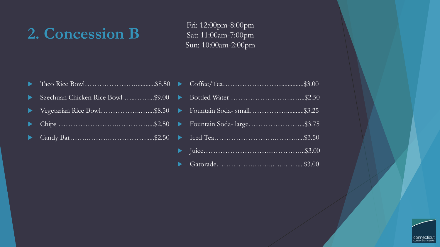### **2. Concession B**

Fri: 12:00pm-8:00pm Sat: 11:00am-7:00pm Sun: 10:00am-2:00pm

- Taco Rice Bowl…………………............\$8.50
- Szechuan Chicken Rice Bowl …............\$9.00
- ▶ Vegetarian Rice Bowl………………………………………… \$8.50
- ▶ Chips …………………………………………………… \$2.50
- Candy Bar…….……….…………….....\$2.50

| Fountain Soda-large\$3.75 |  |
|---------------------------|--|
|                           |  |
|                           |  |
|                           |  |

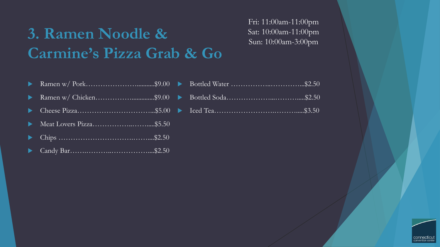## **3. Ramen Noodle & Carmine's Pizza Grab & Go**

Fri: 11:00am-11:00pm Sat: 10:00am-11:00pm Sun: 10:00am-3:00pm

|--|--|--|--|

- Ramen w/ Chicken……………..............\$9.00
- Cheese Pizza…………………………...\$5.00
- Meat Lovers Pizza……………..…….....\$5.50
- Chips ………………………….……....\$2.50
- Candy Bar…….………..……………....\$2.50

| ________ |  |
|----------|--|

Iced Tea…………………….……….....\$3.50

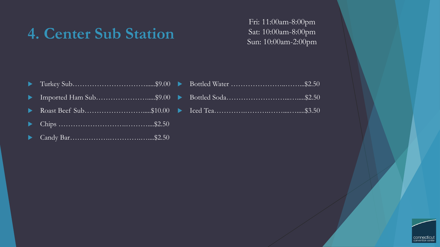#### **4. Center Sub Station**

Fri: 11:00am-8:00pm Sat: 10:00am-8:00pm Sun: 10:00am-2:00pm

- Imported Ham Sub………………….....\$9.00
- Roast Beef Sub…………………….....\$10.00
- ▶ Chips ………………………………………………………… \$2.50
- Candy Bar…….……….………….…....\$2.50